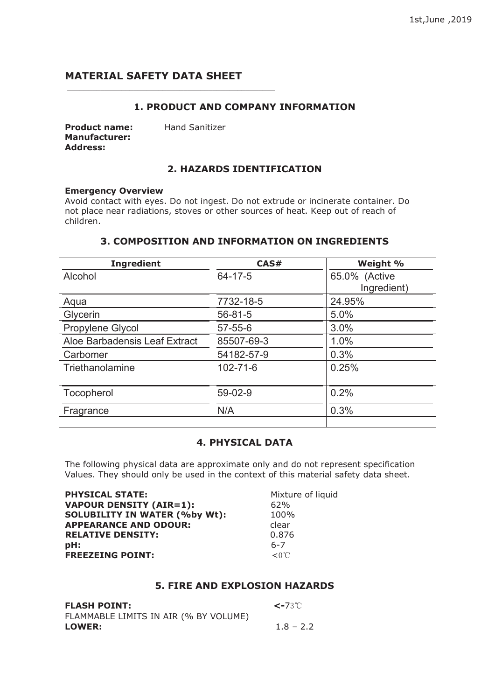# **MATERIAL SAFETY DATA SHEET**

## **1. PRODUCT AND COMPANY INFORMATION**

| <b>Product name:</b> |  |
|----------------------|--|
| <b>Manufacturer:</b> |  |
| Address:             |  |

**Hand Sanitizer** 

## **2. HAZARDS IDENTIFICATION**

### **Emergency Overview**

Avoid contact with eyes. Do not ingest. Do not extrude or incinerate container. Do not place near radiations, stoves or other sources of heat. Keep out of reach of children.

# **3. COMPOSITION AND INFORMATION ON INGREDIENTS**

| <b>Ingredient</b>             | CAS#           | Weight %      |
|-------------------------------|----------------|---------------|
| Alcohol                       | 64-17-5        | 65.0% (Active |
|                               |                | Ingredient)   |
| Aqua                          | 7732-18-5      | 24.95%        |
| Glycerin                      | $56 - 81 - 5$  | 5.0%          |
| Propylene Glycol              | $57 - 55 - 6$  | 3.0%          |
| Aloe Barbadensis Leaf Extract | 85507-69-3     | 1.0%          |
| Carbomer                      | 54182-57-9     | 0.3%          |
| Triethanolamine               | $102 - 71 - 6$ | 0.25%         |
|                               |                |               |
| Tocopherol                    | 59-02-9        | 0.2%          |
| Fragrance                     | N/A            | 0.3%          |
|                               |                |               |

# **4. PHYSICAL DATA**

The following physical data are approximate only and do not represent specification Values. They should only be used in the context of this material safety data sheet.

| <b>PHYSICAL STATE:</b>               | Mixture of liquid |
|--------------------------------------|-------------------|
| <b>VAPOUR DENSITY (AIR=1):</b>       | 62%               |
| <b>SOLUBILITY IN WATER (%by Wt):</b> | 100%              |
| <b>APPEARANCE AND ODOUR:</b>         | clear             |
| <b>RELATIVE DENSITY:</b>             | 0.876             |
| pH:                                  | $6 - 7$           |
| <b>FREEZEING POINT:</b>              | $< 0^{\circ}$     |

## **5. FIRE AND EXPLOSION HAZARDS**

| <b>FLASH POINT:</b>                   | $\sim$ -73°C |
|---------------------------------------|--------------|
| FLAMMABLE LIMITS IN AIR (% BY VOLUME) |              |
| <b>LOWER:</b>                         | $1.8 - 2.2$  |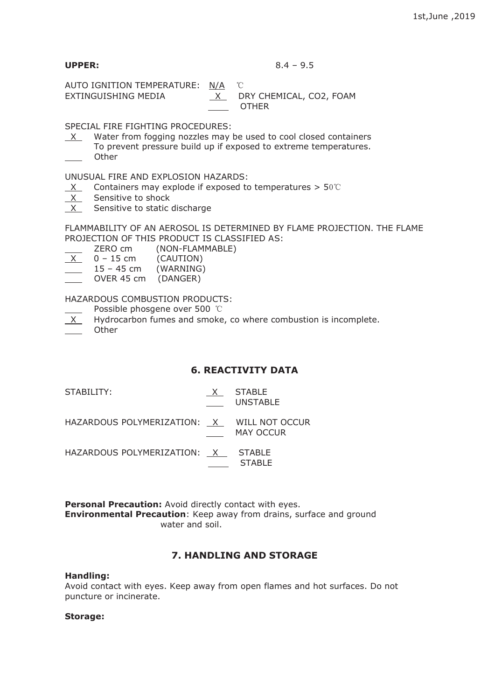**UPPER:** 8.4 – 9.5

AUTO IGNITION TEMPERATURE: N/A ℃ EXTINGUISHING MEDIA X DRY CHEMICAL, CO2, FOAM

OTHER

SPECIAL FIRE FIGHTING PROCEDURES:

 $X$  Water from fogging nozzles may be used to cool closed containers To prevent pressure build up if exposed to extreme temperatures. **Other** 

UNUSUAL FIRE AND EXPLOSION HAZARDS:

- $X$  Containers may explode if exposed to temperatures > 50℃
- $X$  Sensitive to shock
- X Sensitive to static discharge

FLAMMABILITY OF AN AEROSOL IS DETERMINED BY FLAME PROJECTION. THE FLAME PROJECTION OF THIS PRODUCT IS CLASSIFIED AS:

| ZERO cm   | (NON-FLAMMABLE) |
|-----------|-----------------|
| $15 \sim$ | (CMITTONI)      |

| $\times$ | $0 - 15$ cm  | (CAUTION) |
|----------|--------------|-----------|
|          | $15 - 45$ cm | (WARNING) |

OVER 45 cm (DANGER)

HAZARDOUS COMBUSTION PRODUCTS:

Possible phosgene over 500 ℃

 $X$  Hydrocarbon fumes and smoke, co where combustion is incomplete.

**Other** 

## **6. REACTIVITY DATA**

**STABLF** 

| STABILITY:                                 | X STABLE<br><b>UNSTABLE</b> |
|--------------------------------------------|-----------------------------|
| HAZARDOUS POLYMERIZATION: X WILL NOT OCCUR | MAY OCCUR                   |
| HAZARDOUS POLYMERIZATION: X STABLE         |                             |

**Personal Precaution:** Avoid directly contact with eyes. **Environmental Precaution**: Keep away from drains, surface and ground water and soil.

# **7. HANDLING AND STORAGE**

#### **Handling:**

Avoid contact with eyes. Keep away from open flames and hot surfaces. Do not puncture or incinerate.

## **Storage:**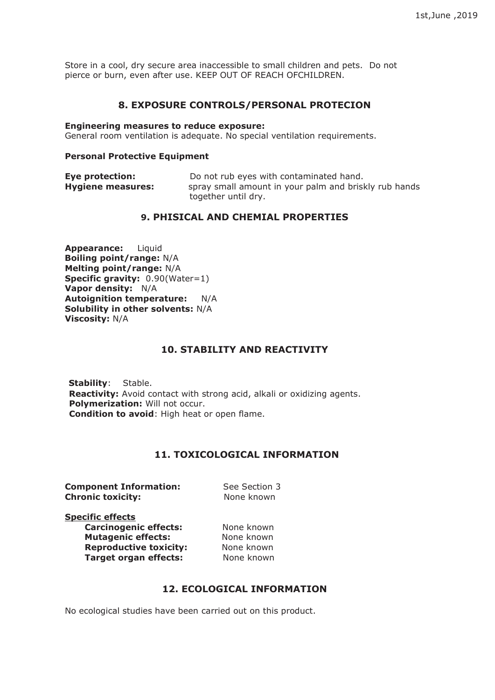Store in a cool, dry secure area inaccessible to small children and pets. Do not pierce or burn, even after use. KEEP OUT OF REACH OFCHILDREN.

## **8. EXPOSURE CONTROLS/PERSONAL PROTECION**

#### **Engineering measures to reduce exposure:**

General room ventilation is adequate. No special ventilation requirements.

#### **Personal Protective Equipment**

| <b>Eye protection:</b>   | Do not rub eyes with contaminated hand.               |  |
|--------------------------|-------------------------------------------------------|--|
| <b>Hygiene measures:</b> | spray small amount in your palm and briskly rub hands |  |
|                          | together until dry.                                   |  |

## **9. PHISICAL AND CHEMIAL PROPERTIES**

**Appearance:** Liquid **Boiling point/range:** N/A **Melting point/range:** N/A **Specific gravity:** 0.90(Water=1) **Vapor density:** N/A **Autoignition temperature:** N/A **Solubility in other solvents:** N/A **Viscosity:** N/A

## **10. STABILITY AND REACTIVITY**

**Stability**: Stable. **Reactivity:** Avoid contact with strong acid, alkali or oxidizing agents. **Polymerization:** Will not occur. **Condition to avoid**: High heat or open flame.

## **11. TOXICOLOGICAL INFORMATION**

**Component Information:** See Section 3 **Chronic toxicity:** None known

**Specific effects**

**Carcinogenic effects:** None known **Mutagenic effects:** None known<br> **Reproductive toxicity:** None known **Reproductive toxicity: Target organ effects:** None known

## **12. ECOLOGICAL INFORMATION**

No ecological studies have been carried out on this product.